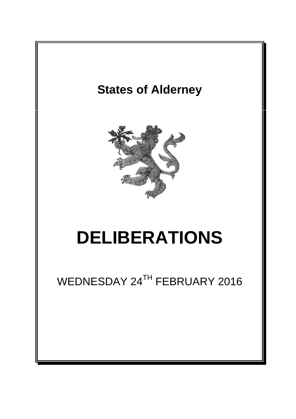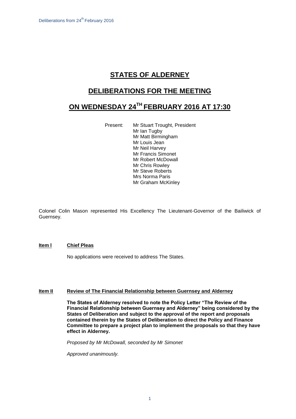# **STATES OF ALDERNEY**

### **DELIBERATIONS FOR THE MEETING**

# **ON WEDNESDAY 24TH FEBRUARY 2016 AT 17:30**

Present: Mr Stuart Trought, President Mr Ian Tugby Mr Matt Birmingham Mr Louis Jean Mr Neil Harvey Mr Francis Simonet Mr Robert McDowall Mr Chris Rowley Mr Steve Roberts Mrs Norma Paris Mr Graham McKinley

Colonel Colin Mason represented His Excellency The Lieutenant-Governor of the Bailiwick of Guernsey.

#### **Item l Chief Pleas**

No applications were received to address The States.

#### **Item II Review of The Financial Relationship between Guernsey and Alderney**

**The States of Alderney resolved to note the Policy Letter "The Review of the Financial Relationship between Guernsey and Alderney" being considered by the States of Deliberation and subject to the approval of the report and proposals contained therein by the States of Deliberation to direct the Policy and Finance Committee to prepare a project plan to implement the proposals so that they have effect in Alderney.** 

*Proposed by Mr McDowall, seconded by Mr Simonet* 

*Approved unanimously.*